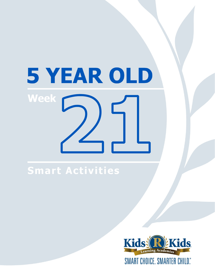# 5 YEAR OLD **Week**

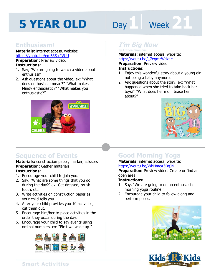# Day 1 **Week** 21

# **Enthusiasm!**

**Materials:** internet access, website: https://youtu.be/em5SSa-IVUU

**Preparation: Preview video. Instructions:** 

- 1. Say, "We are going to watch a video about enthusiasm!"
- 2. Ask questions about the video, ex: "What does enthusiasm mean?" "What makes Mindy enthusiastic?" "What makes you enthusiastic?"



# **Sequence of Events**

**Materials:** construction paper, marker, scissors **Preparation:** Gather materials. **Instructions:** 

- 1. Encourage your child to join you.
- 2. Say, "What are some things that you do during the day?" ex: Get dressed, brush teeth, etc.
- 3. Write activities on construction paper as your child tells you.
- 4. After your child provides you 10 activities, cut them out.
- 5. Encourage him/her to place activities in the order they occur during the day.
- 6. Encourage your child to say events using ordinal numbers, ex: "First we wake up."



# **I'm Big Now by Anthea Simmons**

**Materials:** internet access, website:

**https://youtu.be/\_7eqmzWdx4c<br><b>Preparation:** Preview video.<br>**Instructions:**<br>1. Faisy this wonderful stary shout a ve **Preparation:** Preview video. **Instructions:** 

- 1. Enjoy this wonderful story about a young girl not being a baby anymore.
- 2. Ask questions about the story, ex: "What happened when she tried to take back her toys?" "What does her mom tease her about?"



# **Good Morning Yoga**

#### **Materials:** internet access, website: https://youtu.be/WhHmcA3DqJ4

**Preparation:** Preview video. Create or find an open area.

#### **Instructions:**

- 1. Say, "We are going to do an enthusiastic morning yoga routine!"
- 2. Encourage your child to follow along and perform poses.



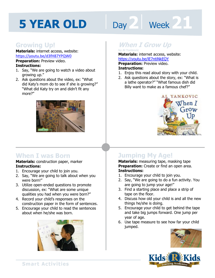# Day 2 Week 21

# **Growing Up!**

**Materials:** internet access, website: https://youtu.be/d3fH87YPQW0

**Preparation:** Preview video. **Instructions:** 

- 1. Say, "We are going to watch a video about growing up."
- 2. Ask questions about the video, ex: "What did Katy's mom do to see if she is growing?" "What did Katy try on and didn't fit any more?"



# **When I was Born**

#### **Materials:** construction paper, marker **Instructions:**

- 1. Encourage your child to join you.
- 2. Say, "We are going to talk about when you were born!"
- 3. Utilize open-ended questions to promote discussion, ex: "What are some unique qualities you had when you were born?"
- 4. Record your child's responses on the construction paper in the form of sentences.
- 5. Encourage your child to read the sentences about when he/she was born.



# *When I Grow Up*

# **Materials:** internet access, website:

**https://youtu.be/IE7ntiNkEQY<br><b>Preparation:** Preview video.<br>**Instructions:**<br>1. Faisy this read aloud stary with your **Preparation:** Preview video. **Instructions:** 

- 1. Enjoy this read aloud story with your child.
- 2. Ask questions about the story, ex: "What is a lathe operator?" "What famous dish did Billy want to make as a famous chef?"



# **Jumping My Age!**

**Materials:** measuring tape, masking tape **Preparation:** Create or find an open area. **Instructions:** 

- 1. Encourage your child to join you.
- 2. Say, "We are going to do a fun activity. You are going to jump your age!"
- 3. Find a starting place and place a strip of tape on the floor.
- 4. Discuss how old your child is and all the new things he/she is doing.
- 5. Encourage your child to get behind the tape and take big jumps forward. One jump per year of age.
- 6. Use tape measure to see how far your child jumped.



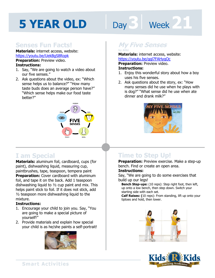# Day 3 **Week 21**

# **Senses Fun Facts!**

**Materials:** internet access, website: https://youtu.be/UekBgS8Ropk **Preparation:** Preview video.

## **Instructions:**

- 1. Say, "We are going to watch a video about our five senses."
- 2. Ask questions about the video, ex: "Which sense helps us to balance?" "How many taste buds does an average person have?" "Which sense helps make our food taste better?"



# **I am Special**

**Materials:** aluminum foil, cardboard, cups (for paint), dishwashing liquid, measuring cup, paintbrushes, tape, teaspoon, tempera paint **Preparation:** Cover cardboard with aluminum foil, and tape it on the back. Add 1 teaspoon dishwashing liquid to ½ cup paint and mix. This helps paint stick to foil. If it does not stick, add ½ teaspoon more dishwashing liquid to the mixture.

#### **Instructions:**

- 1. Encourage your child to join you. Say, "You are going to make a special picture of yourself!"
- 2. Provide materials and explain how special your child is as he/she paints a self-portrait!



# **My Five Senses by Aliki**

**Materials:** internet access, website:

**https://youtu.be/qgl7FAHygOc<br><b>Preparation:** Preview video.<br>**Instructions:**<br>1 Faisy this wonderful stary shout hou **Preparation:** Preview video. **Instructions:** 

- 1. Enjoy this wonderful story about how a boy uses his five senses.
- 2. Ask questions about the story, ex: "How many senses did he use when he plays with is dog?" "What sense did he use when ate dinner and drank milk?"



# **Time to Step Up!**

**Preparation:** Preview exercise. Make a step-up bench. Find or create an open area.

#### **Instructions:**

Say, "We are going to do some exercises that build up our legs!

**Bench Step-ups:** (10 reps): Step right foot, then left, up onto a low bench, then step down. Switch your starting side with each set.

**Calf Raises: (**10 reps): From standing, lift up onto your tiptoes and hold, then lower.



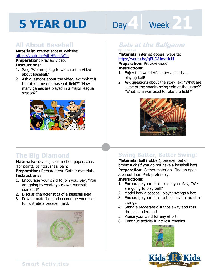# Day **4 | Week 21**

# **All About Baseball**

**Materials:** internet access, website: https://youtu.be/vjUHSgdzWJo **Preparation:** Preview video.

#### **Instructions:**

- 1. Say, "We are going to watch a fun video about baseball."
- 2. Ask questions about the video, ex: "What is the nickname of a baseball field?" "How many games are played in a major league season?"



# **The Big Diamond**

**Materials:** crayons, construction paper, cups (for paint), paintbrushes, paint

**Preparation:** Prepare area. Gather materials. **Instructions:** 

- 1. Encourage your child to join you. Say, "You are going to create your own baseball diamond!"
- 2. Discuss characteristics of a baseball field.
- 3. Provide materials and encourage your child to illustrate a baseball field.



### **Bats at the Ballgame by Brian Lies**

# **Materials:** internet access, website:

**https://youtu.be/qEUOAImgHuM<br><b>Preparation:** Preview video.<br>**Instructions:**<br>1. Faisy this wonderful stary shout bats **Preparation:** Preview video. **Instructions:** 

- 1. Enjoy this wonderful story about bats playing ball!
- 2. Ask questions about the story, ex: "What are some of the snacks being sold at the game?" "What item was used to rake the field?"



# **Swing Batter, Batter Swing!**

**Materials:** ball (rubber), baseball bat or broomstick (if you do not have a baseball bat) **Preparation:** Gather materials. Find an open area outdoor. Park preferably.

#### **Instructions:**

- 1. Encourage your child to join you. Say, "We are going to play ball!"
- 2. Model how a baseball player swings a bat.
- 3. Encourage your child to take several practice swings.
- 4. Stand a moderate distance away and toss the ball underhand.
- 5. Praise your child for any effort.
- 6. Continue activity if interest remains.